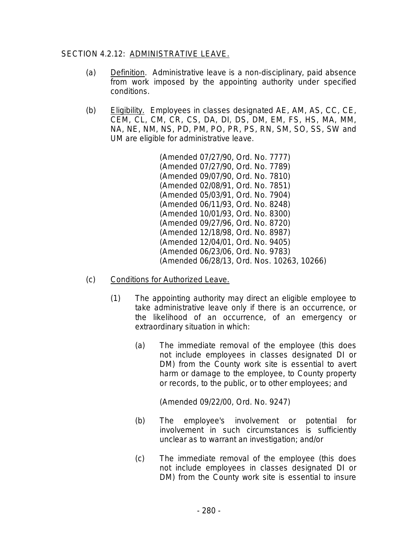## SECTION 4.2.12: ADMINISTRATIVE LEAVE.

- (a) Definition. Administrative leave is a non-disciplinary, paid absence from work imposed by the appointing authority under specified conditions.
- (b) Eligibility. Employees in classes designated AE, AM, AS, CC, CE, CEM, CL, CM, CR, CS, DA, DI, DS, DM, EM, FS, HS, MA, MM, NA, NE, NM, NS, PD, PM, PO, PR, PS, RN, SM, SO, SS, SW and UM are eligible for administrative leave.

(Amended 07/27/90, Ord. No. 7777) (Amended 07/27/90, Ord. No. 7789) (Amended 09/07/90, Ord. No. 7810) (Amended 02/08/91, Ord. No. 7851) (Amended 05/03/91, Ord. No. 7904) (Amended 06/11/93, Ord. No. 8248) (Amended 10/01/93, Ord. No. 8300) (Amended 09/27/96, Ord. No. 8720) (Amended 12/18/98, Ord. No. 8987) (Amended 12/04/01, Ord. No. 9405) (Amended 06/23/06, Ord. No. 9783) (Amended 06/28/13, Ord. Nos. 10263, 10266)

- (c) Conditions for Authorized Leave.
	- (1) The appointing authority may direct an eligible employee to take administrative leave only if there is an occurrence, or the likelihood of an occurrence, of an emergency or extraordinary situation in which:
		- (a) The immediate removal of the employee (this does not include employees in classes designated DI or DM) from the County work site is essential to avert harm or damage to the employee, to County property or records, to the public, or to other employees; and

(Amended 09/22/00, Ord. No. 9247)

- (b) The employee's involvement or potential for involvement in such circumstances is sufficiently unclear as to warrant an investigation; and/or
- (c) The immediate removal of the employee (this does not include employees in classes designated DI or DM) from the County work site is essential to insure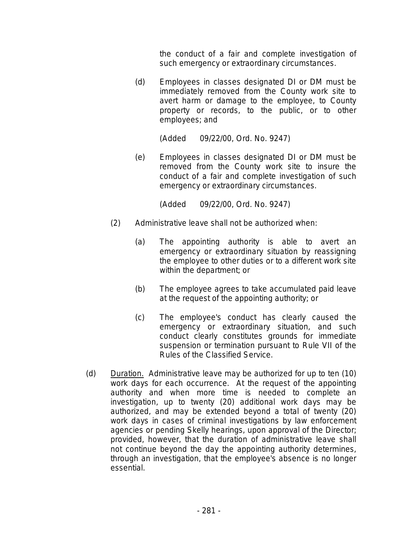the conduct of a fair and complete investigation of such emergency or extraordinary circumstances.

(d) Employees in classes designated DI or DM must be immediately removed from the County work site to avert harm or damage to the employee, to County property or records, to the public, or to other employees; and

(Added 09/22/00, Ord. No. 9247)

(e) Employees in classes designated DI or DM must be removed from the County work site to insure the conduct of a fair and complete investigation of such emergency or extraordinary circumstances.

(Added 09/22/00, Ord. No. 9247)

- (2) Administrative leave shall not be authorized when:
	- (a) The appointing authority is able to avert an emergency or extraordinary situation by reassigning the employee to other duties or to a different work site within the department; or
	- (b) The employee agrees to take accumulated paid leave at the request of the appointing authority; or
	- (c) The employee's conduct has clearly caused the emergency or extraordinary situation, and such conduct clearly constitutes grounds for immediate suspension or termination pursuant to Rule VII of the Rules of the Classified Service.
- (d) Duration. Administrative leave may be authorized for up to ten (10) work days for each occurrence. At the request of the appointing authority and when more time is needed to complete an investigation, up to twenty (20) additional work days may be authorized, and may be extended beyond a total of twenty (20) work days in cases of criminal investigations by law enforcement agencies or pending Skelly hearings, upon approval of the Director; provided, however, that the duration of administrative leave shall not continue beyond the day the appointing authority determines, through an investigation, that the employee's absence is no longer essential.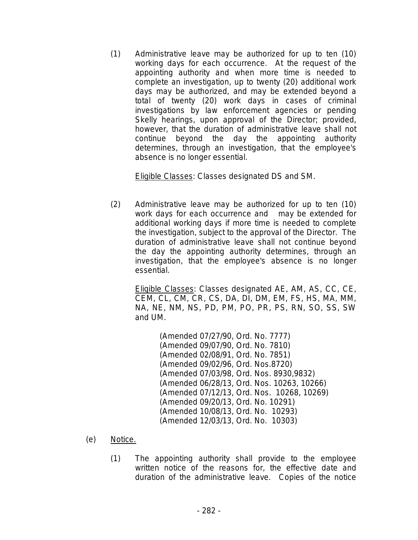(1) Administrative leave may be authorized for up to ten (10) working days for each occurrence. At the request of the appointing authority and when more time is needed to complete an investigation, up to twenty (20) additional work days may be authorized, and may be extended beyond a total of twenty (20) work days in cases of criminal investigations by law enforcement agencies or pending Skelly hearings, upon approval of the Director; provided, however, that the duration of administrative leave shall not continue beyond the day the appointing authority determines, through an investigation, that the employee's absence is no longer essential.

Eligible Classes: Classes designated DS and SM.

(2) Administrative leave may be authorized for up to ten (10) work days for each occurrence and may be extended for additional working days if more time is needed to complete the investigation, subject to the approval of the Director. The duration of administrative leave shall not continue beyond the day the appointing authority determines, through an investigation, that the employee's absence is no longer essential.

> Eligible Classes: Classes designated AE, AM, AS, CC, CE, CEM, CL, CM, CR, CS, DA, DI, DM, EM, FS, HS, MA, MM, NA, NE, NM, NS, PD, PM, PO, PR, PS, RN, SO, SS, SW and UM.

> > (Amended 07/27/90, Ord. No. 7777) (Amended 09/07/90, Ord. No. 7810) (Amended 02/08/91, Ord. No. 7851) (Amended 09/02/96, Ord. Nos.8720) (Amended 07/03/98, Ord. Nos. 8930,9832) (Amended 06/28/13, Ord. Nos. 10263, 10266) (Amended 07/12/13, Ord. Nos. 10268, 10269) (Amended 09/20/13, Ord. No. 10291) (Amended 10/08/13, Ord. No. 10293) (Amended 12/03/13, Ord. No. 10303)

- (e) Notice.
	- (1) The appointing authority shall provide to the employee written notice of the reasons for, the effective date and duration of the administrative leave. Copies of the notice